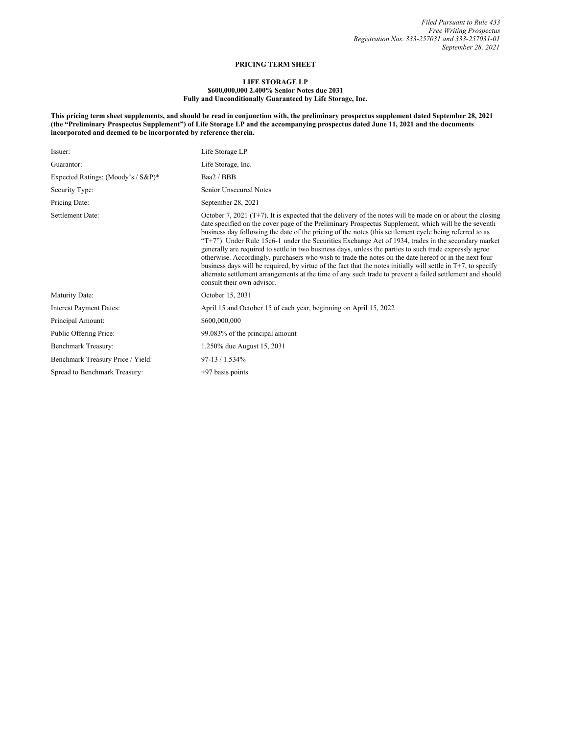## **PRICING TERM SHEET**

## **LIFE STORAGE LP**

**\$600,000,000 2.400% Senior Notes due 2031 Fully and Unconditionally Guaranteed by Life Storage, Inc.**

This pricing term sheet supplements, and should be read in conjunction with, the preliminary prospectus supplement dated September 28, 2021 (the "Preliminary Prospectus Supplement") of Life Storage LP and the accompanying prospectus dated June 11, 2021 and the documents **incorporated and deemed to be incorporated by reference therein.**

| Issuer:                            | Life Storage LP                                                                                                                                                                                                                                                                                                                                                                                                                                                                                                                                                                                                                                                                                                                                                                                                                                                                                                            |
|------------------------------------|----------------------------------------------------------------------------------------------------------------------------------------------------------------------------------------------------------------------------------------------------------------------------------------------------------------------------------------------------------------------------------------------------------------------------------------------------------------------------------------------------------------------------------------------------------------------------------------------------------------------------------------------------------------------------------------------------------------------------------------------------------------------------------------------------------------------------------------------------------------------------------------------------------------------------|
| Guarantor:                         | Life Storage, Inc.                                                                                                                                                                                                                                                                                                                                                                                                                                                                                                                                                                                                                                                                                                                                                                                                                                                                                                         |
| Expected Ratings: (Moody's / S&P)* | Baa2 / BBB                                                                                                                                                                                                                                                                                                                                                                                                                                                                                                                                                                                                                                                                                                                                                                                                                                                                                                                 |
| Security Type:                     | Senior Unsecured Notes                                                                                                                                                                                                                                                                                                                                                                                                                                                                                                                                                                                                                                                                                                                                                                                                                                                                                                     |
| Pricing Date:                      | September 28, 2021                                                                                                                                                                                                                                                                                                                                                                                                                                                                                                                                                                                                                                                                                                                                                                                                                                                                                                         |
| Settlement Date:                   | October 7, 2021 ( $T+7$ ). It is expected that the delivery of the notes will be made on or about the closing<br>date specified on the cover page of the Preliminary Prospectus Supplement, which will be the seventh<br>business day following the date of the pricing of the notes (this settlement cycle being referred to as<br>"T+7"). Under Rule 15c6-1 under the Securities Exchange Act of 1934, trades in the secondary market<br>generally are required to settle in two business days, unless the parties to such trade expressly agree<br>otherwise. Accordingly, purchasers who wish to trade the notes on the date hereof or in the next four<br>business days will be required, by virtue of the fact that the notes initially will settle in $T+7$ , to specify<br>alternate settlement arrangements at the time of any such trade to prevent a failed settlement and should<br>consult their own advisor. |
| Maturity Date:                     | October 15, 2031                                                                                                                                                                                                                                                                                                                                                                                                                                                                                                                                                                                                                                                                                                                                                                                                                                                                                                           |
| <b>Interest Payment Dates:</b>     | April 15 and October 15 of each year, beginning on April 15, 2022                                                                                                                                                                                                                                                                                                                                                                                                                                                                                                                                                                                                                                                                                                                                                                                                                                                          |
| Principal Amount:                  | \$600,000,000                                                                                                                                                                                                                                                                                                                                                                                                                                                                                                                                                                                                                                                                                                                                                                                                                                                                                                              |
| Public Offering Price:             | 99.083% of the principal amount                                                                                                                                                                                                                                                                                                                                                                                                                                                                                                                                                                                                                                                                                                                                                                                                                                                                                            |
| Benchmark Treasury:                | 1.250% due August 15, 2031                                                                                                                                                                                                                                                                                                                                                                                                                                                                                                                                                                                                                                                                                                                                                                                                                                                                                                 |
| Benchmark Treasury Price / Yield:  | 97-13 / 1.534%                                                                                                                                                                                                                                                                                                                                                                                                                                                                                                                                                                                                                                                                                                                                                                                                                                                                                                             |
| Spread to Benchmark Treasury:      | $+97$ basis points                                                                                                                                                                                                                                                                                                                                                                                                                                                                                                                                                                                                                                                                                                                                                                                                                                                                                                         |